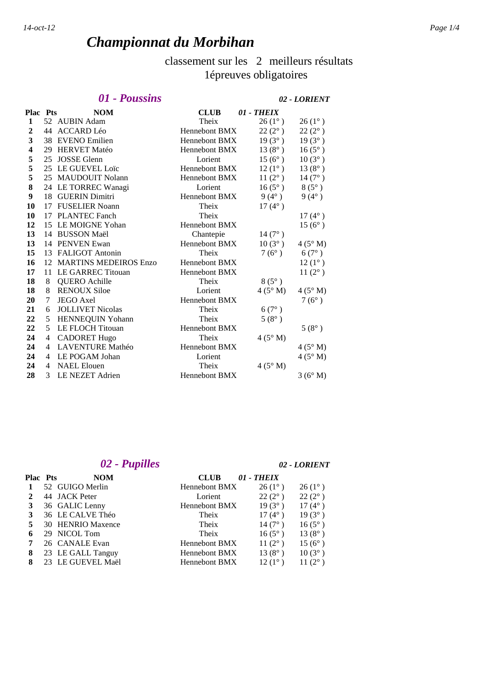# *Championnat du Morbihan*

# classement sur les 2 meilleurs résultats 1épreuves obligatoires

### *01 - Poussins 02 - LORIENT*

| <b>Plac Pts</b>  |                | <b>NOM</b>               | <b>CLUB</b>          | 01 - THEIX      |                 |
|------------------|----------------|--------------------------|----------------------|-----------------|-----------------|
| 1                |                | 52 AUBIN Adam            | Theix                | $26(1^{\circ})$ | $26(1^{\circ})$ |
| $\boldsymbol{2}$ |                | 44 ACCARD Léo            | <b>Hennebont BMX</b> | $22(2^{\circ})$ | $22(2^{\circ})$ |
| 3                |                | 38 EVENO Emilien         | Hennebont BMX        | $19(3^{\circ})$ | $19(3^{\circ})$ |
| 4                |                | 29 HERVET Matéo          | <b>Hennebont BMX</b> | $13(8^{\circ})$ | $16(5^{\circ})$ |
| 5                | 25             | <b>JOSSE Glenn</b>       | Lorient              | $15(6^{\circ})$ | $10(3^{\circ})$ |
| 5                |                | 25 LE GUEVEL Loïc        | Hennebont BMX        | $12(1^{\circ})$ | $13(8^{\circ})$ |
| 5                |                | 25 MAUDOUIT Nolann       | <b>Hennebont BMX</b> | $11(2^{\circ})$ | $14(7^{\circ})$ |
| 8                |                | 24 LE TORREC Wanagi      | Lorient              | $16(5^{\circ})$ | $8(5^\circ)$    |
| 9                |                | 18 GUERIN Dimitri        | <b>Hennebont BMX</b> | $9(4^{\circ})$  | $9(4^{\circ})$  |
| 10               | 17             | <b>FUSELIER Noann</b>    | Theix                | $17(4^{\circ})$ |                 |
| 10               | 17             | <b>PLANTEC Fanch</b>     | Theix                |                 | $17(4^{\circ})$ |
| 12               |                | 15 LE MOIGNE Yohan       | <b>Hennebont BMX</b> |                 | $15(6^{\circ})$ |
| 13               |                | 14 BUSSON Maël           | Chantepie            | $14(7^{\circ})$ |                 |
| 13               |                | 14 PENVEN Ewan           | Hennebont BMX        | $10(3^{\circ})$ | $4(5^\circ M)$  |
| 15               | 13             | <b>FALIGOT Antonin</b>   | Theix                | $7(6^{\circ})$  | $6(7^\circ)$    |
| 16               |                | 12 MARTINS MEDEIROS Enzo | <b>Hennebont BMX</b> |                 | $12(1^{\circ})$ |
| 17               | 11             | LE GARREC Titouan        | <b>Hennebont BMX</b> |                 | $11(2^{\circ})$ |
| 18               | 8              | <b>QUERO</b> Achille     | Theix                | $8(5^\circ)$    |                 |
| 18               | 8              | <b>RENOUX Siloe</b>      | Lorient              | $4(5^\circ M)$  | $4(5^\circ M)$  |
| 20               | 7              | <b>JEGO</b> Axel         | <b>Hennebont BMX</b> |                 | $7(6^{\circ})$  |
| 21               | 6              | <b>JOLLIVET Nicolas</b>  | Theix                | $6(7^{\circ})$  |                 |
| 22               | 5              | HENNEQUIN Yohann         | Theix                | $5(8^{\circ})$  |                 |
| 22               | 5              | <b>LE FLOCH Titouan</b>  | <b>Hennebont BMX</b> |                 | $5(8^{\circ})$  |
| 24               | $\overline{4}$ | <b>CADORET Hugo</b>      | Theix                | $4(5^\circ M)$  |                 |
| 24               | 4              | <b>LAVENTURE Mathéo</b>  | Hennebont BMX        |                 | $4(5^\circ M)$  |
| 24               | 4              | LE POGAM Johan           | Lorient              |                 | $4(5^\circ M)$  |
| 24               | 4              | <b>NAEL Elouen</b>       | Theix                | $4(5^\circ M)$  |                 |
| 28               | 3              | <b>LE NEZET Adrien</b>   | <b>Hennebont BMX</b> |                 | 3(6° M)         |

# *02 - Pupilles 02 - LORIENT*

| <b>NOM</b>        | CLUB    | 01 - THEIX      |                                                                                                                      |
|-------------------|---------|-----------------|----------------------------------------------------------------------------------------------------------------------|
| 52 GUIGO Merlin   |         | $26(1^{\circ})$ | $26(1^{\circ})$                                                                                                      |
| 44 JACK Peter     | Lorient | $22(2^{\circ})$ | $22(2^{\circ})$                                                                                                      |
| 36 GALIC Lenny    |         | $19(3^{\circ})$ | $17(4^{\circ})$                                                                                                      |
| 36 LE CALVE Théo  | Theix   | $17(4^{\circ})$ | $19(3^{\circ})$                                                                                                      |
| 30 HENRIO Maxence | Theix   | $14(7^{\circ})$ | $16(5^{\circ})$                                                                                                      |
| 29 NICOL Tom      | Theix   | $16(5^{\circ})$ | $13(8^{\circ})$                                                                                                      |
| 26 CANALE Evan    |         | $11(2^{\circ})$ | $15(6^{\circ})$                                                                                                      |
| 23 LE GALL Tanguy |         | $13(8^{\circ})$ | $10(3^{\circ})$                                                                                                      |
| 23 LE GUEVEL Maël |         | $12(1^{\circ})$ | $11(2^{\circ})$                                                                                                      |
|                   |         |                 | <b>Hennebont BMX</b><br><b>Hennebont BMX</b><br><b>Hennebont BMX</b><br><b>Hennebont BMX</b><br><b>Hennebont BMX</b> |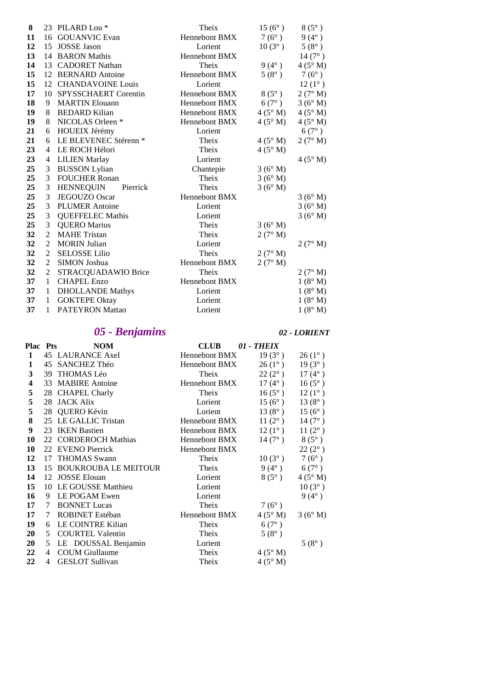| 8  |                | 23 PILARD Lou <sup>*</sup>       | Theix                | $15(6^{\circ})$ | $8(5^\circ)$     |
|----|----------------|----------------------------------|----------------------|-----------------|------------------|
| 11 | 16             | <b>GOUANVIC Evan</b>             | Hennebont BMX        | $7(6^{\circ})$  | $9(4^{\circ})$   |
| 12 | 15             | <b>JOSSE Jason</b>               | Lorient              | $10(3^{\circ})$ | $5(8^{\circ})$   |
| 13 | 14             | <b>BARON</b> Mathis              | Hennebont BMX        |                 | $14(7^{\circ})$  |
| 14 |                | 13 CADORET Nathan                | Theix                | $9(4^{\circ})$  | $4(5^\circ M)$   |
| 15 | 12             | <b>BERNARD</b> Antoine           | <b>Hennebont BMX</b> | $5(8^{\circ})$  | $7(6^{\circ})$   |
| 15 |                | 12 CHANDAVOINE Louis             | Lorient              |                 | $12(1^{\circ})$  |
| 17 | 10             | SPYSSCHAERT Corentin             | Hennebont BMX        | $8(5^\circ)$    | $2(7^{\circ} M)$ |
| 18 | 9              | <b>MARTIN Elouann</b>            | <b>Hennebont BMX</b> | $6(7^{\circ})$  | 3(6° M)          |
| 19 | 8              | <b>BEDARD</b> Kilian             | Hennebont BMX        | $4(5^\circ M)$  | $4(5^\circ M)$   |
| 19 | 8              | NICOLAS Orleen *                 | Hennebont BMX        | $4(5^\circ M)$  | $4(5^\circ M)$   |
| 21 | 6              | HOUEIX Jérémy                    | Lorient              |                 | $6(7^\circ)$     |
| 21 | 6              | LE BLEVENEC Stérenn <sup>*</sup> | Theix                | $4(5^\circ M)$  | 2(7° M)          |
| 23 | $\overline{4}$ | LE ROCH Hélori                   | Theix                | $4(5^\circ M)$  |                  |
| 23 | 4              | <b>LILIEN Marlay</b>             | Lorient              |                 | $4(5^\circ M)$   |
| 25 | 3              | <b>BUSSON Lylian</b>             | Chantepie            | 3(6° M)         |                  |
| 25 | 3              | <b>FOUCHER Ronan</b>             | Theix                | 3(6° M)         |                  |
| 25 | 3              | <b>HENNEQUIN</b><br>Pierrick     | Theix                | 3(6° M)         |                  |
| 25 | 3              | <b>JEGOUZO</b> Oscar             | <b>Hennebont BMX</b> |                 | 3(6° M)          |
| 25 | 3              | <b>PLUMER Antoine</b>            | Lorient              |                 | 3(6° M)          |
| 25 | 3              | <b>QUEFFELEC Mathis</b>          | Lorient              |                 | 3(6° M)          |
| 25 | 3              | <b>QUERO Marius</b>              | Theix                | 3(6° M)         |                  |
| 32 | $\overline{2}$ | <b>MAHE Tristan</b>              | Theix                | 2(7° M)         |                  |
| 32 | 2              | <b>MORIN</b> Julian              | Lorient              |                 | 2(7° M)          |
| 32 | $\overline{2}$ | <b>SELOSSE Lilio</b>             | Theix                | 2 $(7^\circ M)$ |                  |
| 32 | 2              | SIMON Joshua                     | Hennebont BMX        | 2(7° M)         |                  |
| 32 | $\overline{2}$ | STRACQUADAWIO Brice              | Theix                |                 | 2(7° M)          |
| 37 | $\mathbf{1}$   | <b>CHAPEL Enzo</b>               | Hennebont BMX        |                 | 1(8° M)          |
| 37 | 1              | <b>DHOLLANDE Mathys</b>          | Lorient              |                 | 1(8° M)          |
| 37 | 1              | <b>GOKTEPE Oktay</b>             | Lorient              |                 | 1(8° M)          |
| 37 | 1              | <b>PATEYRON Mattao</b>           | Lorient              |                 | 1(8° M)          |

# *05 - Benjamins 02 - LORIENT*

| <b>Plac Pts</b> |    | <b>NOM</b>                  | CLUB                 | 01 - THEIX      |                 |
|-----------------|----|-----------------------------|----------------------|-----------------|-----------------|
| 1               |    | 45 LAURANCE Axel            | <b>Hennebont BMX</b> | $19(3^{\circ})$ | $26(1^{\circ})$ |
| 1               |    | 45 SANCHEZ Théo             | Hennebont BMX        | $26(1^{\circ})$ | $19(3^{\circ})$ |
| 3               |    | 39 THOMAS Léo               | Theix                | $22(2^{\circ})$ | $17(4^{\circ})$ |
| 4               |    | 33 MABIRE Antoine           | Hennebont BMX        | $17(4^{\circ})$ | $16(5^{\circ})$ |
| 5               |    | 28 CHAPEL Charly            | Theix                | $16(5^{\circ})$ | $12(1^{\circ})$ |
| 5               | 28 | <b>JACK Alix</b>            | Lorient              | $15(6^{\circ})$ | $13(8^{\circ})$ |
| 5               |    | 28 QUERO Kévin              | Lorient              | $13(8^{\circ})$ | $15(6^{\circ})$ |
| 8               |    | 25 LE GALLIC Tristan        | Hennebont BMX        | $11(2^{\circ})$ | $14(7^{\circ})$ |
| 9               |    | 23 IKEN Bastien             | Hennebont BMX        | $12(1^{\circ})$ | $11(2^{\circ})$ |
| 10              |    | 22 CORDEROCH Mathias        | <b>Hennebont BMX</b> | $14(7^{\circ})$ | $8(5^{\circ})$  |
| 10              |    | 22 EVENO Pierrick           | <b>Hennebont BMX</b> |                 | $22(2^{\circ})$ |
| 12              | 17 | <b>THOMAS</b> Swann         | Theix                | $10(3^{\circ})$ | $7(6^{\circ})$  |
| 13              | 15 | <b>BOUKROUBA LE MEITOUR</b> | Theix                | $9(4^{\circ})$  | $6(7^{\circ})$  |
| 14              | 12 | <b>JOSSE Elouan</b>         | Lorient              | $8(5^\circ)$    | $4(5^\circ M)$  |
| 15              | 10 | LE GOUSSE Matthieu          | Lorient              |                 | $10(3^{\circ})$ |
| 16              | 9  | LE POGAM Ewen               | Lorient              |                 | $9(4^{\circ})$  |
| 17              | 7  | <b>BONNET Lucas</b>         | Theix                | $7(6^{\circ})$  |                 |
| 17              | 7  | ROBINET Estéban             | Hennebont BMX        | $4(5^\circ M)$  | 3(6° M)         |
| 19              | 6  | LE COINTRE Kilian           | Theix                | $6(7^{\circ})$  |                 |
| 20              | 5  | <b>COURTEL Valentin</b>     | Theix                | $5(8^{\circ})$  |                 |
| 20              | 5. | LE DOUSSAL Benjamin         | Lorient              |                 | $5(8^{\circ})$  |
| 22              | 4  | <b>COUM</b> Giullaume       | Theix                | $4(5^\circ M)$  |                 |
| 22              | 4  | <b>GESLOT</b> Sullivan      | Theix                | $4(5^\circ M)$  |                 |
|                 |    |                             |                      |                 |                 |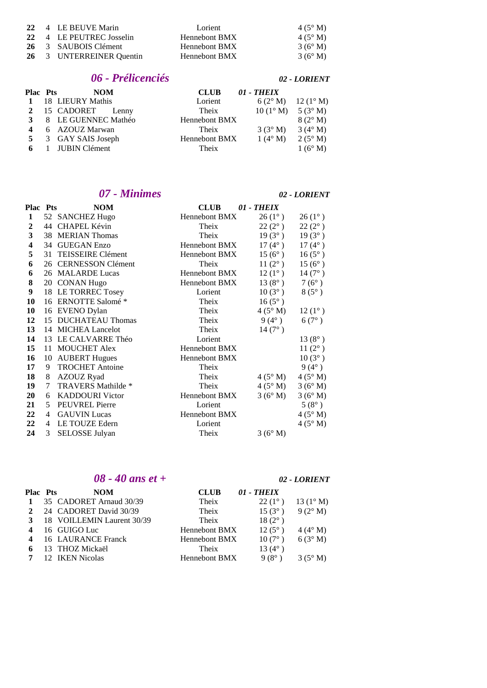|  | 22 4 LE BEUVE Marin      | Lorient       | $4(5^\circ M)$   |
|--|--------------------------|---------------|------------------|
|  | 22 4 LE PEUTREC Josselin | Hennebont BMX | $4(5^\circ M)$   |
|  | 26 3 SAUBOIS Clément     | Hennebont BMX | $3(6^\circ M)$   |
|  | 26 3 UNTERREINER Quentin | Hennebont BMX | $3(6^{\circ} M)$ |

### *06 - Prélicenciés 02 - LORIENT*

| <b>Plac Pts</b> | <b>NOM</b>            | <b>CLUB</b>          | 01 - THEIX                        |                                        |
|-----------------|-----------------------|----------------------|-----------------------------------|----------------------------------------|
|                 | 18 LIEURY Mathis      | Lorient              |                                   | $6(2^{\circ} M)$ 12 (1 <sup>o</sup> M) |
|                 | 2 15 CADORET Lenny    | Theix                | $10(1^{\circ} M)$ 5 (3° M)        |                                        |
|                 | 3 8 LE GUENNEC Mathéo | <b>Hennebont BMX</b> |                                   | $8(2^{\circ} M)$                       |
|                 | 6 AZOUZ Marwan        | Theix                | $3(3^{\circ} M)$ $3(4^{\circ} M)$ |                                        |
|                 | 5 3 GAY SAIS Joseph   | Hennebont BMX        | $1(4^\circ M)$                    | $2(5^{\circ} M)$                       |
|                 | 6 1 JUBIN Clément     | Theix                |                                   | $1(6^{\circ} M)$                       |

### *07 - Minimes 02 - LORIENT*

| <b>Plac Pts</b> |    | <b>NOM</b>             | <b>CLUB</b>          | 01 - THEIX       |                 |
|-----------------|----|------------------------|----------------------|------------------|-----------------|
| 1               |    | 52 SANCHEZ Hugo        | Hennebont BMX        | $26(1^{\circ})$  | $26(1^{\circ})$ |
| 2               |    | 44 CHAPEL Kévin        | Theix                | $22(2^{\circ})$  | $22(2^{\circ})$ |
| 3               |    | 38 MERIAN Thomas       | Theix                | $19(3^{\circ})$  | $19(3^{\circ})$ |
| 4               |    | 34 GUEGAN Enzo         | Hennebont BMX        | $17(4^{\circ})$  | $17(4^{\circ})$ |
| 5               | 31 | TEISSEIRE Clément      | <b>Hennebont BMX</b> | $15(6^{\circ})$  | $16(5^{\circ})$ |
| 6               |    | 26 CERNESSON Clément   | Theix                | 11 $(2^{\circ})$ | $15(6^{\circ})$ |
| 6               |    | 26 MALARDE Lucas       | <b>Hennebont BMX</b> | $12(1^{\circ})$  | $14(7^{\circ})$ |
| 8               |    | 20 CONAN Hugo          | <b>Hennebont BMX</b> | $13(8^{\circ})$  | $7(6^{\circ})$  |
| 9               |    | 18 LE TORREC Tosey     | Lorient              | $10(3^{\circ})$  | $8(5^\circ)$    |
| 10              |    | 16 ERNOTTE Salomé *    | Theix                | $16(5^{\circ})$  |                 |
| 10              |    | 16 EVENO Dylan         | Theix                | $4(5^\circ M)$   | $12(1^{\circ})$ |
| 12              |    | 15 DUCHATEAU Thomas    | Theix                | $9(4^{\circ})$   | $6(7^{\circ})$  |
| 13              |    | 14 MICHEA Lancelot     | Theix                | $14(7^{\circ})$  |                 |
| 14              | 13 | LE CALVARRE Théo       | Lorient              |                  | $13(8^{\circ})$ |
| 15              | 11 | <b>MOUCHET Alex</b>    | <b>Hennebont BMX</b> |                  | $11(2^{\circ})$ |
| 16              | 10 | <b>AUBERT Hugues</b>   | <b>Hennebont BMX</b> |                  | $10(3^{\circ})$ |
| 17              | 9  | <b>TROCHET Antoine</b> | Theix                |                  | $9(4^{\circ})$  |
| 18              | 8  | <b>AZOUZ Ryad</b>      | Theix                | $4(5^\circ M)$   | $4(5^\circ M)$  |
| 19              | 7  | TRAVERS Mathilde *     | Theix                | $4(5^\circ M)$   | 3(6° M)         |
| 20              | 6  | <b>KADDOURI</b> Victor | <b>Hennebont BMX</b> | 3(6° M)          | 3(6° M)         |
| 21              | 5  | <b>PEUVREL Pierre</b>  | Lorient              |                  | $5(8^{\circ})$  |
| 22              | 4  | <b>GAUVIN Lucas</b>    | Hennebont BMX        |                  | $4(5^\circ M)$  |
| 22              | 4  | LE TOUZE Edern         | Lorient              |                  | $4(5^\circ M)$  |
| 24              | 3  | SELOSSE Julyan         | Theix                | 3(6° M)          |                 |

### *08 - 40 ans et + 02 - LORIENT*

| <b>Plac Pts</b> | <b>NOM</b>                 | <b>CLUB</b>          | 01 - THEIX      |                    |
|-----------------|----------------------------|----------------------|-----------------|--------------------|
|                 | 35 CADORET Arnaud 30/39    | Theix                | $22(1^{\circ})$ | 13 $(1^{\circ} M)$ |
| $\overline{2}$  | 24 CADORET David 30/39     | Theix                | $15(3^{\circ})$ | $9(2^{\circ} M)$   |
| 3               | 18 VOILLEMIN Laurent 30/39 | Theix                | $18(2^{\circ})$ |                    |
|                 | 16 GUIGO Luc               | <b>Hennebont BMX</b> | $12(5^{\circ})$ | $4(4^{\circ} M)$   |
|                 | 16 LAURANCE Franck         | <b>Hennebont BMX</b> | $10(7^{\circ})$ | $6(3°)$ M)         |
| 6               | 13 THOZ Mickaël            | Theix                | $13(4^{\circ})$ |                    |
|                 | 12 IKEN Nicolas            | Hennebont BMX        | $9(8^\circ)$    | $3(5^{\circ} M)$   |